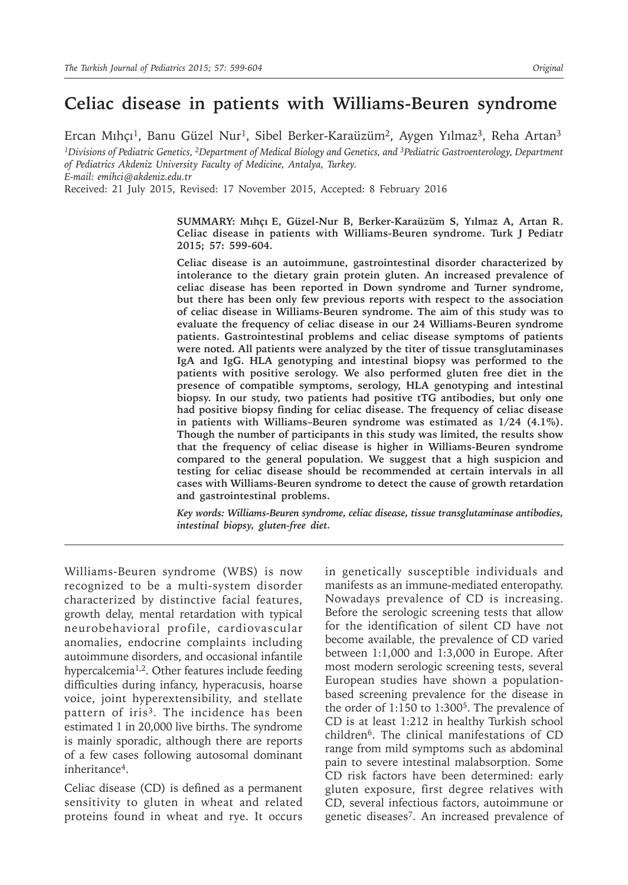# **Celiac disease in patients with Williams-Beuren syndrome**

Ercan Mıhçı<sup>1</sup>, Banu Güzel Nur<sup>1</sup>, Sibel Berker-Karaüzüm<sup>2</sup>, Aygen Yılmaz<sup>3</sup>, Reha Artan<sup>3</sup> *<sup>1</sup>Divisions of Pediatric Genetics, 2Department of Medical Biology and Genetics, and 3Pediatric Gastroenterology, Department of Pediatrics Akdeniz University Faculty of Medicine, Antalya, Turkey. E-mail: emihci@akdeniz.edu.tr* Received: 21 July 2015, Revised: 17 November 2015, Accepted: 8 February 2016

> **SUMMARY: Mıhçı E, Güzel-Nur B, Berker-Karaüzüm S, Yılmaz A, Artan R. Celiac disease in patients with Williams-Beuren syndrome. Turk J Pediatr 2015; 57: 599-604.**

> **Celiac disease is an autoimmune, gastrointestinal disorder characterized by intolerance to the dietary grain protein gluten. An increased prevalence of celiac disease has been reported in Down syndrome and Turner syndrome, but there has been only few previous reports with respect to the association of celiac disease in Williams-Beuren syndrome. The aim of this study was to evaluate the frequency of celiac disease in our 24 Williams-Beuren syndrome patients. Gastrointestinal problems and celiac disease symptoms of patients were noted. All patients were analyzed by the titer of tissue transglutaminases IgA and IgG. HLA genotyping and intestinal biopsy was performed to the patients with positive serology. We also performed gluten free diet in the presence of compatible symptoms, serology, HLA genotyping and intestinal biopsy. In our study, two patients had positive tTG antibodies, but only one had positive biopsy finding for celiac disease. The frequency of celiac disease in patients with Williams–Beuren syndrome was estimated as 1/24 (4.1%). Though the number of participants in this study was limited, the results show that the frequency of celiac disease is higher in Williams-Beuren syndrome compared to the general population. We suggest that a high suspicion and testing for celiac disease should be recommended at certain intervals in all cases with Williams-Beuren syndrome to detect the cause of growth retardation and gastrointestinal problems.**

> *Key words: Williams-Beuren syndrome, celiac disease, tissue transglutaminase antibodies, intestinal biopsy, gluten-free diet.*

Williams-Beuren syndrome (WBS) is now recognized to be a multi-system disorder characterized by distinctive facial features, growth delay, mental retardation with typical neurobehavioral profile, cardiovascular anomalies, endocrine complaints including autoimmune disorders, and occasional infantile hypercalcemia<sup>1,2</sup>. Other features include feeding difficulties during infancy, hyperacusis, hoarse voice, joint hyperextensibility, and stellate pattern of iris<sup>3</sup>. The incidence has been estimated 1 in 20,000 live births. The syndrome is mainly sporadic, although there are reports of a few cases following autosomal dominant inheritance4.

Celiac disease (CD) is defined as a permanent sensitivity to gluten in wheat and related proteins found in wheat and rye. It occurs

in genetically susceptible individuals and manifests as an immune-mediated enteropathy. Nowadays prevalence of CD is increasing. Before the serologic screening tests that allow for the identification of silent CD have not become available, the prevalence of CD varied between 1:1,000 and 1:3,000 in Europe. After most modern serologic screening tests, several European studies have shown a populationbased screening prevalence for the disease in the order of  $1:150$  to  $1:300<sup>5</sup>$ . The prevalence of CD is at least 1:212 in healthy Turkish school children6. The clinical manifestations of CD range from mild symptoms such as abdominal pain to severe intestinal malabsorption. Some CD risk factors have been determined: early gluten exposure, first degree relatives with CD, several infectious factors, autoimmune or genetic diseases7. An increased prevalence of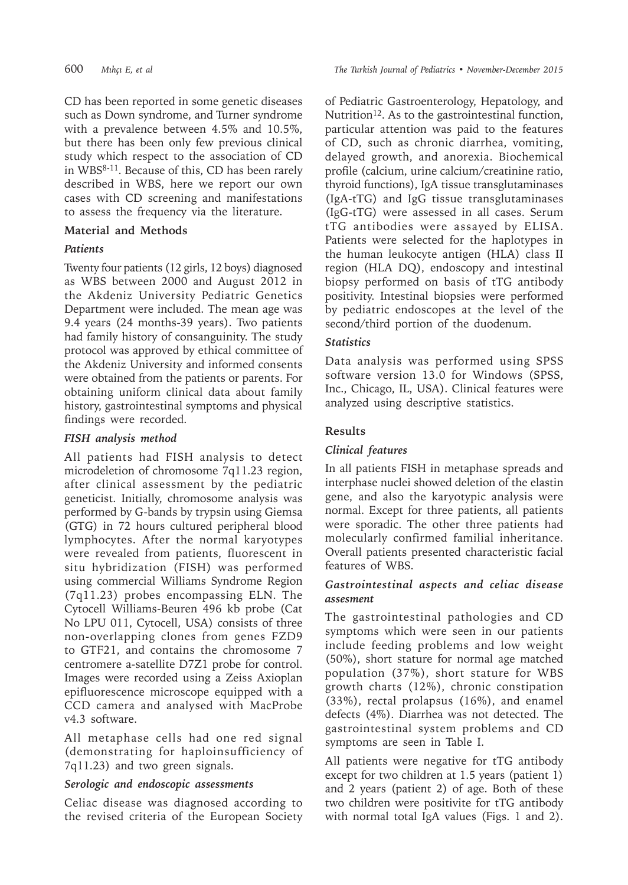CD has been reported in some genetic diseases such as Down syndrome, and Turner syndrome with a prevalence between 4.5% and 10.5%, but there has been only few previous clinical study which respect to the association of CD in WBS8-11. Because of this, CD has been rarely described in WBS, here we report our own cases with CD screening and manifestations to assess the frequency via the literature.

## **Material and Methods**

## *Patients*

Twenty four patients (12 girls, 12 boys) diagnosed as WBS between 2000 and August 2012 in the Akdeniz University Pediatric Genetics Department were included. The mean age was 9.4 years (24 months-39 years). Two patients had family history of consanguinity. The study protocol was approved by ethical committee of the Akdeniz University and informed consents were obtained from the patients or parents. For obtaining uniform clinical data about family history, gastrointestinal symptoms and physical findings were recorded.

## *FISH analysis method*

All patients had FISH analysis to detect microdeletion of chromosome 7q11.23 region, after clinical assessment by the pediatric geneticist. Initially, chromosome analysis was performed by G-bands by trypsin using Giemsa (GTG) in 72 hours cultured peripheral blood lymphocytes. After the normal karyotypes were revealed from patients, fluorescent in situ hybridization (FISH) was performed using commercial Williams Syndrome Region (7q11.23) probes encompassing ELN. The Cytocell Williams-Beuren 496 kb probe (Cat No LPU 011, Cytocell, USA) consists of three non-overlapping clones from genes FZD9 to GTF21, and contains the chromosome 7 centromere a-satellite D7Z1 probe for control. Images were recorded using a Zeiss Axioplan epifluorescence microscope equipped with a CCD camera and analysed with MacProbe v4.3 software.

All metaphase cells had one red signal (demonstrating for haploinsufficiency of 7q11.23) and two green signals.

### *Serologic and endoscopic assessments*

Celiac disease was diagnosed according to the revised criteria of the European Society of Pediatric Gastroenterology, Hepatology, and Nutrition<sup>12</sup>. As to the gastrointestinal function, particular attention was paid to the features of CD, such as chronic diarrhea, vomiting, delayed growth, and anorexia. Biochemical profile (calcium, urine calcium/creatinine ratio, thyroid functions), IgA tissue transglutaminases (IgA-tTG) and IgG tissue transglutaminases (IgG-tTG) were assessed in all cases. Serum tTG antibodies were assayed by ELISA. Patients were selected for the haplotypes in the human leukocyte antigen (HLA) class II region (HLA DQ), endoscopy and intestinal biopsy performed on basis of tTG antibody positivity. Intestinal biopsies were performed by pediatric endoscopes at the level of the second/third portion of the duodenum.

## *Statistics*

Data analysis was performed using SPSS software version 13.0 for Windows (SPSS, Inc., Chicago, IL, USA). Clinical features were analyzed using descriptive statistics.

## **Results**

## *Clinical features*

In all patients FISH in metaphase spreads and interphase nuclei showed deletion of the elastin gene, and also the karyotypic analysis were normal. Except for three patients, all patients were sporadic. The other three patients had molecularly confirmed familial inheritance. Overall patients presented characteristic facial features of WBS.

### *Gastrointestinal aspects and celiac disease assesment*

The gastrointestinal pathologies and CD symptoms which were seen in our patients include feeding problems and low weight (50%), short stature for normal age matched population (37%), short stature for WBS growth charts (12%), chronic constipation (33%), rectal prolapsus (16%), and enamel defects (4%). Diarrhea was not detected. The gastrointestinal system problems and CD symptoms are seen in Table I.

All patients were negative for tTG antibody except for two children at 1.5 years (patient 1) and 2 years (patient 2) of age. Both of these two children were positivite for tTG antibody with normal total IgA values (Figs. 1 and 2).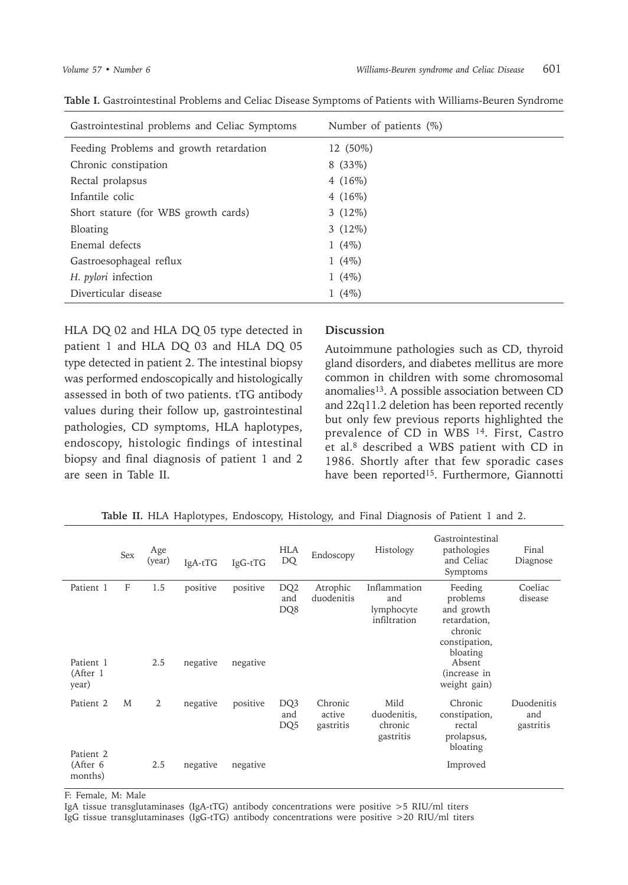| Gastrointestinal problems and Celiac Symptoms | Number of patients $(\%)$ |
|-----------------------------------------------|---------------------------|
| Feeding Problems and growth retardation       | 12 (50%)                  |
| Chronic constipation                          | $8(33\%)$                 |
| Rectal prolapsus                              | 4 $(16%)$                 |
| Infantile colic                               | 4 $(16%)$                 |
| Short stature (for WBS growth cards)          | $3(12\%)$                 |
| Bloating                                      | $3(12\%)$                 |
| Enemal defects                                | 1 $(4%)$                  |
| Gastroesophageal reflux                       | 1 $(4%)$                  |
| H. pylori infection                           | 1 $(4%)$                  |
| Diverticular disease                          | 1 $(4\%)$                 |

HLA DQ 02 and HLA DQ 05 type detected in patient 1 and HLA DQ 03 and HLA DQ 05 type detected in patient 2. The intestinal biopsy was performed endoscopically and histologically assessed in both of two patients. tTG antibody values during their follow up, gastrointestinal pathologies, CD symptoms, HLA haplotypes, endoscopy, histologic findings of intestinal biopsy and final diagnosis of patient 1 and 2 are seen in Table II.

#### **Discussion**

Autoimmune pathologies such as CD, thyroid gland disorders, and diabetes mellitus are more common in children with some chromosomal anomalies<sup>13</sup>. A possible association between CD and 22q11.2 deletion has been reported recently but only few previous reports highlighted the prevalence of CD in WBS 14. First, Castro et al.8 described a WBS patient with CD in 1986. Shortly after that few sporadic cases have been reported<sup>15</sup>. Furthermore, Giannotti

|                                             | Sex | Age<br>(year) | IgA-tTG  | IgG-tTG  | <b>HLA</b><br>DQ              | Endoscopy                      | Histology                                         | Gastrointestinal<br>pathologies<br>and Celiac<br>Symptoms                                 | Final<br>Diagnose              |
|---------------------------------------------|-----|---------------|----------|----------|-------------------------------|--------------------------------|---------------------------------------------------|-------------------------------------------------------------------------------------------|--------------------------------|
| Patient 1                                   | F   | 1.5           | positive | positive | DQ <sub>2</sub><br>and<br>DQ8 | Atrophic<br>duodenitis         | Inflammation<br>and<br>lymphocyte<br>infiltration | Feeding<br>problems<br>and growth<br>retardation,<br>chronic<br>constipation,<br>bloating | Coeliac<br>disease             |
| Patient 1<br>(After 1<br>year)              |     | 2.5           | negative | negative |                               |                                |                                                   | Absent<br>(increase in<br>weight gain)                                                    |                                |
| Patient 2                                   | M   | 2             | negative | positive | DQ3<br>and<br>DQ <sub>5</sub> | Chronic<br>active<br>gastritis | Mild<br>duodenitis,<br>chronic<br>gastritis       | Chronic<br>constipation,<br>rectal<br>prolapsus,                                          | Duodenitis<br>and<br>gastritis |
| Patient <sub>2</sub><br>(After 6<br>months) |     | 2.5           | negative | negative |                               |                                |                                                   | bloating<br>Improved                                                                      |                                |

**Table II.** HLA Haplotypes, Endoscopy, Histology, and Final Diagnosis of Patient 1 and 2.

F: Female, M: Male

IgA tissue transglutaminases (IgA-tTG) antibody concentrations were positive >5 RIU/ml titers IgG tissue transglutaminases (IgG-tTG) antibody concentrations were positive >20 RIU/ml titers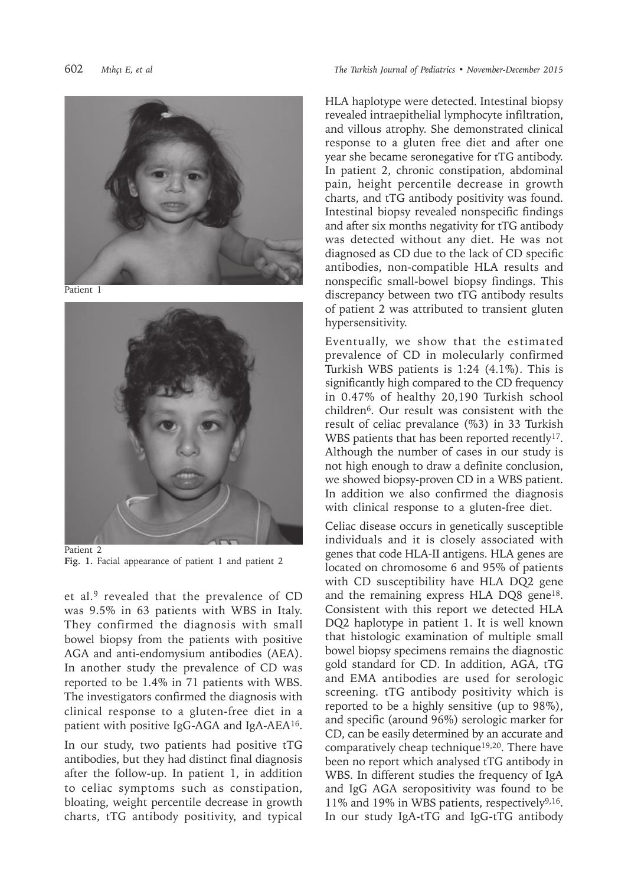



Patient<sub>1</sub>



Patient 2 **Fig. 1.** Facial appearance of patient 1 and patient 2

et al.<sup>9</sup> revealed that the prevalence of CD was 9.5% in 63 patients with WBS in Italy. They confirmed the diagnosis with small bowel biopsy from the patients with positive AGA and anti-endomysium antibodies (AEA). In another study the prevalence of CD was reported to be 1.4% in 71 patients with WBS. The investigators confirmed the diagnosis with clinical response to a gluten-free diet in a patient with positive IgG-AGA and IgA-AEA<sup>16</sup>.

In our study, two patients had positive tTG antibodies, but they had distinct final diagnosis after the follow-up. In patient 1, in addition to celiac symptoms such as constipation, bloating, weight percentile decrease in growth charts, tTG antibody positivity, and typical

HLA haplotype were detected. Intestinal biopsy revealed intraepithelial lymphocyte infiltration, and villous atrophy. She demonstrated clinical response to a gluten free diet and after one year she became seronegative for tTG antibody. In patient 2, chronic constipation, abdominal pain, height percentile decrease in growth charts, and tTG antibody positivity was found. Intestinal biopsy revealed nonspecific findings and after six months negativity for tTG antibody was detected without any diet. He was not diagnosed as CD due to the lack of CD specific antibodies, non-compatible HLA results and nonspecific small-bowel biopsy findings. This discrepancy between two tTG antibody results of patient 2 was attributed to transient gluten hypersensitivity.

Eventually, we show that the estimated prevalence of CD in molecularly confirmed Turkish WBS patients is 1:24 (4.1%). This is significantly high compared to the CD frequency in 0.47% of healthy 20,190 Turkish school children6. Our result was consistent with the result of celiac prevalance (%3) in 33 Turkish WBS patients that has been reported recently<sup>17</sup>. Although the number of cases in our study is not high enough to draw a definite conclusion, we showed biopsy-proven CD in a WBS patient. In addition we also confirmed the diagnosis with clinical response to a gluten-free diet.

Celiac disease occurs in genetically susceptible individuals and it is closely associated with genes that code HLA-II antigens. HLA genes are located on chromosome 6 and 95% of patients with CD susceptibility have HLA DQ2 gene and the remaining express HLA DQ8 gene<sup>18</sup>. Consistent with this report we detected HLA DQ2 haplotype in patient 1. It is well known that histologic examination of multiple small bowel biopsy specimens remains the diagnostic gold standard for CD. In addition, AGA, tTG and EMA antibodies are used for serologic screening. tTG antibody positivity which is reported to be a highly sensitive (up to 98%), and specific (around 96%) serologic marker for CD, can be easily determined by an accurate and comparatively cheap technique19,20. There have been no report which analysed tTG antibody in WBS. In different studies the frequency of IgA and IgG AGA seropositivity was found to be 11% and 19% in WBS patients, respectively9,16. In our study IgA-tTG and IgG-tTG antibody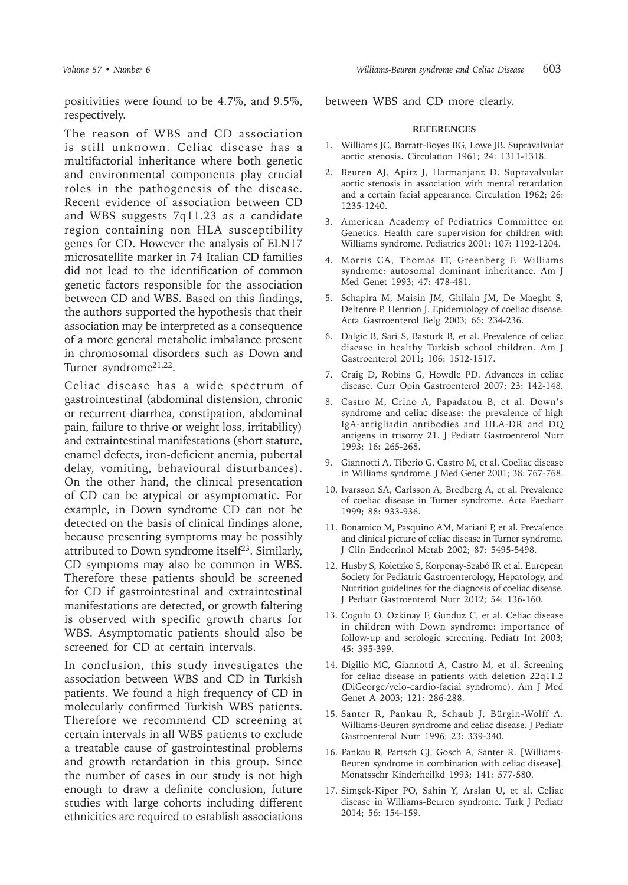positivities were found to be 4.7%, and 9.5%, respectively.

The reason of WBS and CD association is still unknown. Celiac disease has a multifactorial inheritance where both genetic and environmental components play crucial roles in the pathogenesis of the disease. Recent evidence of association between CD and WBS suggests 7q11.23 as a candidate region containing non HLA susceptibility genes for CD. However the analysis of ELN17 microsatellite marker in 74 Italian CD families did not lead to the identification of common genetic factors responsible for the association between CD and WBS. Based on this findings, the authors supported the hypothesis that their association may be interpreted as a consequence of a more general metabolic imbalance present in chromosomal disorders such as Down and Turner syndrome21,22.

Celiac disease has a wide spectrum of gastrointestinal (abdominal distension, chronic or recurrent diarrhea, constipation, abdominal pain, failure to thrive or weight loss, irritability) and extraintestinal manifestations (short stature, enamel defects, iron-deficient anemia, pubertal delay, vomiting, behavioural disturbances). On the other hand, the clinical presentation of CD can be atypical or asymptomatic. For example, in Down syndrome CD can not be detected on the basis of clinical findings alone, because presenting symptoms may be possibly attributed to Down syndrome itself23. Similarly, CD symptoms may also be common in WBS. Therefore these patients should be screened for CD if gastrointestinal and extraintestinal manifestations are detected, or growth faltering is observed with specific growth charts for WBS. Asymptomatic patients should also be screened for CD at certain intervals.

In conclusion, this study investigates the association between WBS and CD in Turkish patients. We found a high frequency of CD in molecularly confirmed Turkish WBS patients. Therefore we recommend CD screening at certain intervals in all WBS patients to exclude a treatable cause of gastrointestinal problems and growth retardation in this group. Since the number of cases in our study is not high enough to draw a definite conclusion, future studies with large cohorts including different ethnicities are required to establish associations

between WBS and CD more clearly.

#### **REFERENCES**

- 1. Williams JC, Barratt-Boyes BG, Lowe JB. Supravalvular aortic stenosis. Circulation 1961; 24: 1311-1318.
- 2. Beuren AJ, Apitz J, Harmanjanz D. Supravalvular aortic stenosis in association with mental retardation and a certain facial appearance. Circulation 1962; 26: 1235-1240.
- 3. American Academy of Pediatrics Committee on Genetics. Health care supervision for children with Williams syndrome. Pediatrics 2001; 107: 1192-1204.
- 4. Morris CA, Thomas IT, Greenberg F. Williams syndrome: autosomal dominant inheritance. Am J Med Genet 1993; 47: 478-481.
- 5. Schapira M, Maisin JM, Ghilain JM, De Maeght S, Deltenre P, Henrion J. Epidemiology of coeliac disease. Acta Gastroenterol Belg 2003; 66: 234-236.
- 6. Dalgic B, Sari S, Basturk B, et al. Prevalence of celiac disease in healthy Turkish school children. Am J Gastroenterol 2011; 106: 1512-1517.
- 7. Craig D, Robins G, Howdle PD. Advances in celiac disease. Curr Opin Gastroenterol 2007; 23: 142-148.
- 8. Castro M, Crino A, Papadatou B, et al. Down's syndrome and celiac disease: the prevalence of high IgA-antigliadin antibodies and HLA-DR and DQ antigens in trisomy 21. J Pediatr Gastroenterol Nutr 1993; 16: 265-268.
- 9. Giannotti A, Tiberio G, Castro M, et al. Coeliac disease in Williams syndrome. J Med Genet 2001; 38: 767-768.
- 10. Ivarsson SA, Carlsson A, Bredberg A, et al. Prevalence of coeliac disease in Turner syndrome. Acta Paediatr 1999; 88: 933-936.
- 11. Bonamico M, Pasquino AM, Mariani P, et al. Prevalence and clinical picture of celiac disease in Turner syndrome. J Clin Endocrinol Metab 2002; 87: 5495-5498.
- 12. Husby S, Koletzko S, Korponay-Szabó IR et al. European Society for Pediatric Gastroenterology, Hepatology, and Nutrition guidelines for the diagnosis of coeliac disease. J Pediatr Gastroenterol Nutr 2012; 54: 136-160.
- 13. Cogulu O, Ozkinay F, Gunduz C, et al. Celiac disease in children with Down syndrome: importance of follow-up and serologic screening. Pediatr Int 2003; 45: 395-399.
- 14. Digilio MC, Giannotti A, Castro M, et al. Screening for celiac disease in patients with deletion 22q11.2 (DiGeorge/velo-cardio-facial syndrome). Am J Med Genet A 2003; 121: 286-288.
- 15. Santer R, Pankau R, Schaub J, Bürgin-Wolff A. Williams-Beuren syndrome and celiac disease. J Pediatr Gastroenterol Nutr 1996; 23: 339-340.
- 16. Pankau R, Partsch CJ, Gosch A, Santer R. [Williams-Beuren syndrome in combination with celiac disease]. Monatsschr Kinderheilkd 1993; 141: 577-580.
- 17. Simşek-Kiper PO, Sahin Y, Arslan U, et al. Celiac disease in Williams-Beuren syndrome. Turk J Pediatr 2014; 56: 154-159.